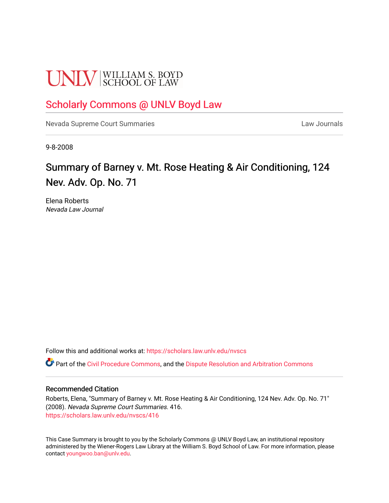# **UNLV** SCHOOL OF LAW

# [Scholarly Commons @ UNLV Boyd Law](https://scholars.law.unlv.edu/)

[Nevada Supreme Court Summaries](https://scholars.law.unlv.edu/nvscs) **Law Journals** Law Journals

9-8-2008

# Summary of Barney v. Mt. Rose Heating & Air Conditioning, 124 Nev. Adv. Op. No. 71

Elena Roberts Nevada Law Journal

Follow this and additional works at: [https://scholars.law.unlv.edu/nvscs](https://scholars.law.unlv.edu/nvscs?utm_source=scholars.law.unlv.edu%2Fnvscs%2F416&utm_medium=PDF&utm_campaign=PDFCoverPages)

Part of the [Civil Procedure Commons,](http://network.bepress.com/hgg/discipline/584?utm_source=scholars.law.unlv.edu%2Fnvscs%2F416&utm_medium=PDF&utm_campaign=PDFCoverPages) and the [Dispute Resolution and Arbitration Commons](http://network.bepress.com/hgg/discipline/890?utm_source=scholars.law.unlv.edu%2Fnvscs%2F416&utm_medium=PDF&utm_campaign=PDFCoverPages) 

#### Recommended Citation

Roberts, Elena, "Summary of Barney v. Mt. Rose Heating & Air Conditioning, 124 Nev. Adv. Op. No. 71" (2008). Nevada Supreme Court Summaries. 416. [https://scholars.law.unlv.edu/nvscs/416](https://scholars.law.unlv.edu/nvscs/416?utm_source=scholars.law.unlv.edu%2Fnvscs%2F416&utm_medium=PDF&utm_campaign=PDFCoverPages)

This Case Summary is brought to you by the Scholarly Commons @ UNLV Boyd Law, an institutional repository administered by the Wiener-Rogers Law Library at the William S. Boyd School of Law. For more information, please contact [youngwoo.ban@unlv.edu](mailto:youngwoo.ban@unlv.edu).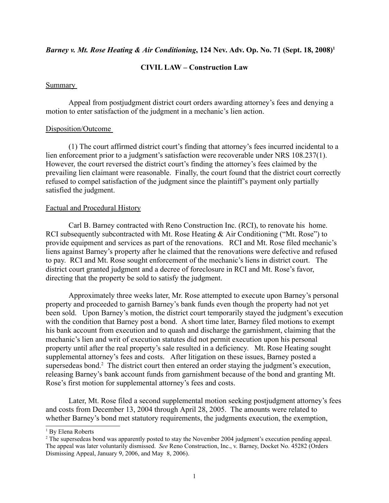## *Barney v. Mt. Rose Heating & Air Conditioning*, 124 Nev. Adv. Op. No. 71 (Sept. 18, 2008)<sup>1</sup>

## **CIVIL LAW – Construction Law**

#### Summary

Appeal from postjudgment district court orders awarding attorney's fees and denying a motion to enter satisfaction of the judgment in a mechanic's lien action.

#### Disposition/Outcome

(1) The court affirmed district court's finding that attorney's fees incurred incidental to a lien enforcement prior to a judgment's satisfaction were recoverable under NRS 108.237(1). However, the court reversed the district court's finding the attorney's fees claimed by the prevailing lien claimant were reasonable. Finally, the court found that the district court correctly refused to compel satisfaction of the judgment since the plaintiff's payment only partially satisfied the judgment.

#### Factual and Procedural History

Carl B. Barney contracted with Reno Construction Inc. (RCI), to renovate his home. RCI subsequently subcontracted with Mt. Rose Heating & Air Conditioning ("Mt. Rose") to provide equipment and services as part of the renovations. RCI and Mt. Rose filed mechanic's liens against Barney's property after he claimed that the renovations were defective and refused to pay. RCI and Mt. Rose sought enforcement of the mechanic's liens in district court. The district court granted judgment and a decree of foreclosure in RCI and Mt. Rose's favor, directing that the property be sold to satisfy the judgment.

Approximately three weeks later, Mr. Rose attempted to execute upon Barney's personal property and proceeded to garnish Barney's bank funds even though the property had not yet been sold. Upon Barney's motion, the district court temporarily stayed the judgment's execution with the condition that Barney post a bond. A short time later, Barney filed motions to exempt his bank account from execution and to quash and discharge the garnishment, claiming that the mechanic's lien and writ of execution statutes did not permit execution upon his personal property until after the real property's sale resulted in a deficiency. Mt. Rose Heating sought supplemental attorney's fees and costs. After litigation on these issues, Barney posted a supersedeas bond.<sup>2</sup> The district court then entered an order staying the judgment's execution, releasing Barney's bank account funds from garnishment because of the bond and granting Mt. Rose's first motion for supplemental attorney's fees and costs.

Later, Mt. Rose filed a second supplemental motion seeking postjudgment attorney's fees and costs from December 13, 2004 through April 28, 2005. The amounts were related to whether Barney's bond met statutory requirements, the judgments execution, the exemption,

<sup>&</sup>lt;sup>1</sup> By Elena Roberts

<sup>&</sup>lt;sup>2</sup> The supersedeas bond was apparently posted to stay the November 2004 judgment's execution pending appeal. The appeal was later voluntarily dismissed. *See* Reno Construction, Inc., v. Barney, Docket No. 45282 (Orders Dismissing Appeal, January 9, 2006, and May 8, 2006).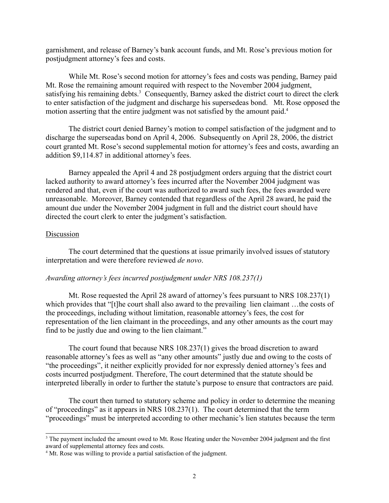garnishment, and release of Barney's bank account funds, and Mt. Rose's previous motion for postjudgment attorney's fees and costs.

While Mt. Rose's second motion for attorney's fees and costs was pending, Barney paid Mt. Rose the remaining amount required with respect to the November 2004 judgment, satisfying his remaining debts.<sup>3</sup> Consequently, Barney asked the district court to direct the clerk to enter satisfaction of the judgment and discharge his supersedeas bond. Mt. Rose opposed the motion asserting that the entire judgment was not satisfied by the amount paid.<sup>4</sup>

The district court denied Barney's motion to compel satisfaction of the judgment and to discharge the superseadas bond on April 4, 2006. Subsequently on April 28, 2006, the district court granted Mt. Rose's second supplemental motion for attorney's fees and costs, awarding an addition \$9,114.87 in additional attorney's fees.

Barney appealed the April 4 and 28 postjudgment orders arguing that the district court lacked authority to award attorney's fees incurred after the November 2004 judgment was rendered and that, even if the court was authorized to award such fees, the fees awarded were unreasonable. Moreover, Barney contended that regardless of the April 28 award, he paid the amount due under the November 2004 judgment in full and the district court should have directed the court clerk to enter the judgment's satisfaction.

## Discussion

The court determined that the questions at issue primarily involved issues of statutory interpretation and were therefore reviewed *de novo*.

# *Awarding attorney's fees incurred postjudgment under NRS 108.237(1)*

Mt. Rose requested the April 28 award of attorney's fees pursuant to NRS 108.237(1) which provides that "[t]he court shall also award to the prevailing lien claimant ... the costs of the proceedings, including without limitation, reasonable attorney's fees, the cost for representation of the lien claimant in the proceedings, and any other amounts as the court may find to be justly due and owing to the lien claimant."

The court found that because NRS 108.237(1) gives the broad discretion to award reasonable attorney's fees as well as "any other amounts" justly due and owing to the costs of "the proceedings", it neither explicitly provided for nor expressly denied attorney's fees and costs incurred postjudgment. Therefore, The court determined that the statute should be interpreted liberally in order to further the statute's purpose to ensure that contractors are paid.

The court then turned to statutory scheme and policy in order to determine the meaning of "proceedings" as it appears in NRS 108.237(1). The court determined that the term "proceedings" must be interpreted according to other mechanic's lien statutes because the term

<sup>&</sup>lt;sup>3</sup> The payment included the amount owed to Mt. Rose Heating under the November 2004 judgment and the first award of supplemental attorney fees and costs.

<sup>&</sup>lt;sup>4</sup> Mt. Rose was willing to provide a partial satisfaction of the judgment.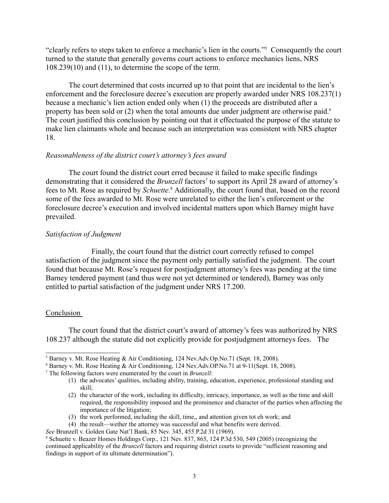"clearly refers to steps taken to enforce a mechanic's lien in the courts."5 Consequently the court turned to the statute that generally governs court actions to enforce mechanics liens, NRS 108.239(10) and (11), to determine the scope of the term.

The court determined that costs incurred up to that point that are incidental to the lien's enforcement and the foreclosure decree's execution are properly awarded under NRS 108.237(1) because a mechanic's lien action ended only when (1) the proceeds are distributed after a property has been sold or (2) when the total amounts due under judgment are otherwise paid.<sup>6</sup> The court justified this conclusion by pointing out that it effectuated the purpose of the statute to make lien claimants whole and because such an interpretation was consistent with NRS chapter 18.

# *Reasonableness of the district court's attorney's fees award*

The court found the district court erred because it failed to make specific findings demonstrating that it considered the *Brunzell* factors<sup>7</sup> to support its April 28 award of attorney's fees to Mt. Rose as required by *Schuette.*<sup>8</sup> Additionally, the court found that, based on the record some of the fees awarded to Mt. Rose were unrelated to either the lien's enforcement or the foreclosure decree's execution and involved incidental matters upon which Barney might have prevailed.

# *Satisfaction of Judgment*

Finally, the court found that the district court correctly refused to compel satisfaction of the judgment since the payment only partially satisfied the judgment. The court found that because Mt. Rose's request for postjudgment attorney's fees was pending at the time Barney tendered payment (and thus were not yet determined or tendered), Barney was only entitled to partial satisfaction of the judgment under NRS 17.200.

# Conclusion

The court found that the district court's award of attorney's fees was authorized by NRS 108.237 although the statute did not explicitly provide for postjudgment attorneys fees. The

- (3) the work performed, including the skill, time,, and attention given tot eh work; and
- (4) the result—wether the attorney was successful and what benefits were derived.

<sup>&</sup>lt;sup>5</sup> Barney v. Mt. Rose Heating & Air Conditioning, 124 Nev.Adv.Op.No.71 (Sept. 18, 2008).

<sup>6</sup> Barney v. Mt. Rose Heating & Air Conditioning, 124 Nev.Adv.OP.No.71 at 9-11(Sept. 18, 2008).

<sup>7</sup> The following factors were enumerated by the court in *Brunzell*:

<sup>(1)</sup> the advocates' qualities, including ability, training, education, experience, professional standing and skill;

<sup>(2)</sup> the character of the work, including its difficulty, intricacy, importance, as well as the time and skill required, the responsibility imposed and the prominence and character of the parties when affecting the importance of the litigation;

*See Brunzell v. Golden Gate Nat'l Bank, 85 Nev. 345, 455 P.2d 31 (1969).* 

Schuette v. Beazer Homes Holdings Corp., 121 Nev. 837, 865, 124 P.3d 530, 549 (2005) (recognizing the continued applicability of the *Brunzell* factors and requiring district courts to provide "sufficient reasoning and findings in support of its ultimate determination").